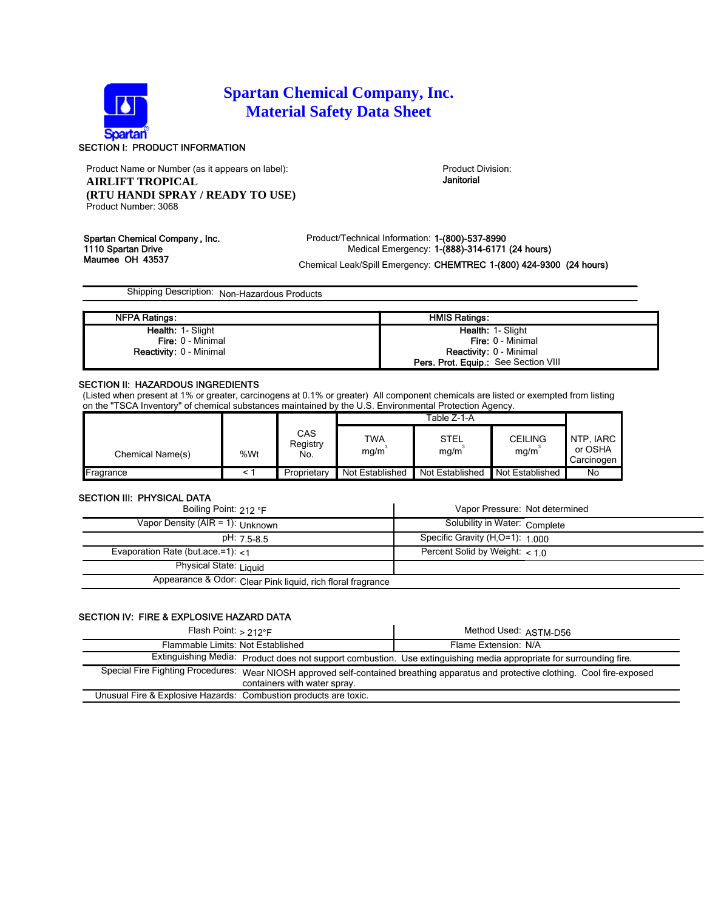

# **Spartan Chemical Company, Inc. Material Safety Data Sheet**

# SECTION I: PRODUCT INFORMATION

Product Name or Number (as it appears on label): Product Division: Product Division: **AIRLIFT TROPICAL (RTU HANDI SPRAY / READY TO USE)** Product Number: 3068

Janitorial

Spartan Chemical Company, Inc. <br>Product/Technical Information: 1-(800)-537-8990<br>Medical Emergency: 1-(888)-314-6171 1110 Spartan Drive Medical Emergency: 1-(888)-314-6171 (24 hours)<br>Maumee OH 43537 Maumee OH 43537

Chemical Leak/Spill Emergency: CHEMTREC 1-(800) 424-9300 (24 hours)

Shipping Description: Non-Hazardous Products

| <b>NFPA Ratings:</b>           | <b>HMIS Ratings:</b>                        |
|--------------------------------|---------------------------------------------|
| <b>Health: 1- Slight</b>       | Health: 1- Slight                           |
| <b>Fire: 0 - Minimal</b>       | <b>Fire: 0 - Minimal</b>                    |
| <b>Reactivity: 0 - Minimal</b> | <b>Reactivity: 0 - Minimal</b>              |
|                                | <b>Pers. Prot. Equip.:</b> See Section VIII |

# SECTION II: HAZARDOUS INGREDIENTS

(Listed when present at 1% or greater, carcinogens at 0.1% or greater) All component chemicals are listed or exempted from listing on the "TSCA Inventory" of chemical substances maintained by the U.S. Environmental Protection Agency.

|                  |     |                        | Table Z-1-A            |                     |                        |                                    |
|------------------|-----|------------------------|------------------------|---------------------|------------------------|------------------------------------|
| Chemical Name(s) | %Wt | CAS<br>Registry<br>No. | TWA<br>mq/m            | <b>STEL</b><br>mq/m | <b>CEILING</b><br>mq/m | NTP. IARC<br>or OSHA<br>Carcinogen |
| Fragrance        |     | Proprietary            | <b>Not Established</b> | Not Established     | <b>Not Established</b> | No                                 |

### SECTION III: PHYSICAL DATA

| Boiling Point: $212 \text{ }^{\circ}$ F                     | Vapor Pressure: Not determined               |
|-------------------------------------------------------------|----------------------------------------------|
| Vapor Density (AIR = 1): Unknown                            | Solubility in Water: Complete                |
| pH: 7.5-8.5                                                 | Specific Gravity (H <sub>2</sub> O=1): 1.000 |
| Evaporation Rate (but ace $=1$ ): $<1$                      | Percent Solid by Weight: $< 10$              |
| Physical State: Liquid                                      |                                              |
| Appearance & Odor: Clear Pink liquid, rich floral fragrance |                                              |

## SECTION IV: FIRE & EXPLOSIVE HAZARD DATA

| Flash Point: $> 212^\circ F$                                     |                              | Method Used: ASTM-D56                                                                                                               |  |
|------------------------------------------------------------------|------------------------------|-------------------------------------------------------------------------------------------------------------------------------------|--|
| Flammable Limits: Not Established                                |                              | Flame Extension: N/A                                                                                                                |  |
|                                                                  |                              | Extinguishing Media: Product does not support combustion. Use extinguishing media appropriate for surrounding fire.                 |  |
|                                                                  | containers with water spray. | Special Fire Fighting Procedures: Wear NIOSH approved self-contained breathing apparatus and protective clothing. Cool fire-exposed |  |
| Unusual Fire & Explosive Hazards: Combustion products are toxic. |                              |                                                                                                                                     |  |